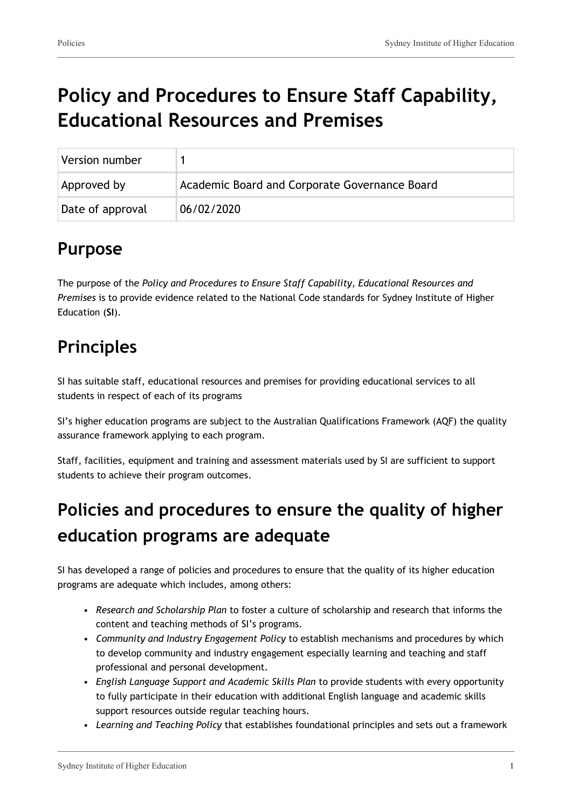# **Policy and Procedures to Ensure Staff Capability, Educational Resources and Premises**

| Version number   |                                               |
|------------------|-----------------------------------------------|
| Approved by      | Academic Board and Corporate Governance Board |
| Date of approval | 06/02/2020                                    |

#### **Purpose**

The purpose of the *Policy and Procedures to Ensure Staff Capability, Educational Resources and Premises* is to provide evidence related to the National Code standards for Sydney Institute of Higher Education (**SI**).

#### **Principles**

SI has suitable staff, educational resources and premises for providing educational services to all students in respect of each of its programs

SI's higher education programs are subject to the Australian Qualifications Framework (AQF) the quality assurance framework applying to each program.

Staff, facilities, equipment and training and assessment materials used by SI are sufficient to support students to achieve their program outcomes.

# **Policies and procedures to ensure the quality of higher education programs are adequate**

SI has developed a range of policies and procedures to ensure that the quality of its higher education programs are adequate which includes, among others:

- *Research and Scholarship Plan* to foster a culture of scholarship and research that informs the content and teaching methods of SI's programs.
- *Community and Industry Engagement Policy* to establish mechanisms and procedures by which to develop community and industry engagement especially learning and teaching and staff professional and personal development.
- *English Language Support and Academic Skills Plan* to provide students with every opportunity to fully participate in their education with additional English language and academic skills support resources outside regular teaching hours.
- *Learning and Teaching Policy* that establishes foundational principles and sets out a framework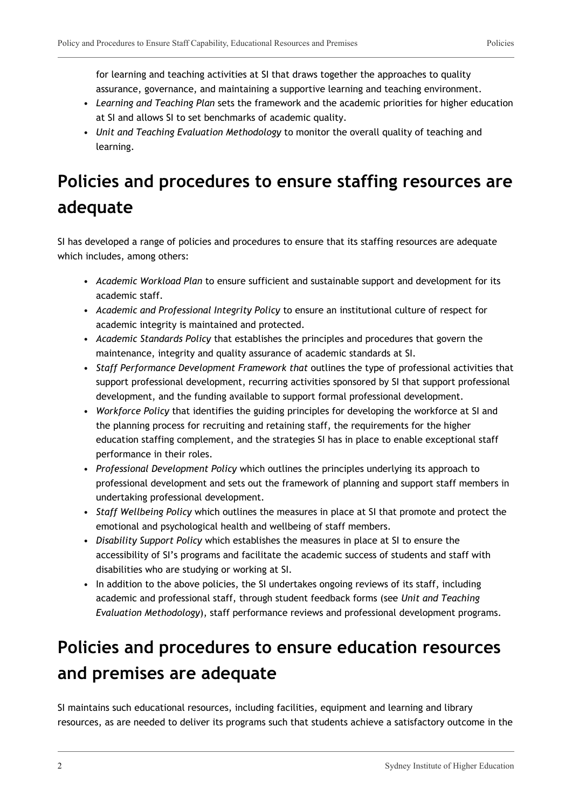for learning and teaching activities at SI that draws together the approaches to quality assurance, governance, and maintaining a supportive learning and teaching environment.

- *Learning and Teaching Plan* sets the framework and the academic priorities for higher education at SI and allows SI to set benchmarks of academic quality.
- *Unit and Teaching Evaluation Methodology* to monitor the overall quality of teaching and learning.

### **Policies and procedures to ensure staffing resources are adequate**

SI has developed a range of policies and procedures to ensure that its staffing resources are adequate which includes, among others:

- *Academic Workload Plan* to ensure sufficient and sustainable support and development for its academic staff.
- *Academic and Professional Integrity Policy* to ensure an institutional culture of respect for academic integrity is maintained and protected.
- *Academic Standards Policy* that establishes the principles and procedures that govern the maintenance, integrity and quality assurance of academic standards at SI.
- *Staff Performance Development Framework that* outlines the type of professional activities that support professional development, recurring activities sponsored by SI that support professional development, and the funding available to support formal professional development.
- *Workforce Policy* that identifies the guiding principles for developing the workforce at SI and the planning process for recruiting and retaining staff, the requirements for the higher education staffing complement, and the strategies SI has in place to enable exceptional staff performance in their roles.
- *Professional Development Policy* which outlines the principles underlying its approach to professional development and sets out the framework of planning and support staff members in undertaking professional development.
- *Staff Wellbeing Policy* which outlines the measures in place at SI that promote and protect the emotional and psychological health and wellbeing of staff members.
- *Disability Support Policy* which establishes the measures in place at SI to ensure the accessibility of SI's programs and facilitate the academic success of students and staff with disabilities who are studying or working at SI.
- In addition to the above policies, the SI undertakes ongoing reviews of its staff, including academic and professional staff, through student feedback forms (see *Unit and Teaching Evaluation Methodology*), staff performance reviews and professional development programs.

### **Policies and procedures to ensure education resources and premises are adequate**

SI maintains such educational resources, including facilities, equipment and learning and library resources, as are needed to deliver its programs such that students achieve a satisfactory outcome in the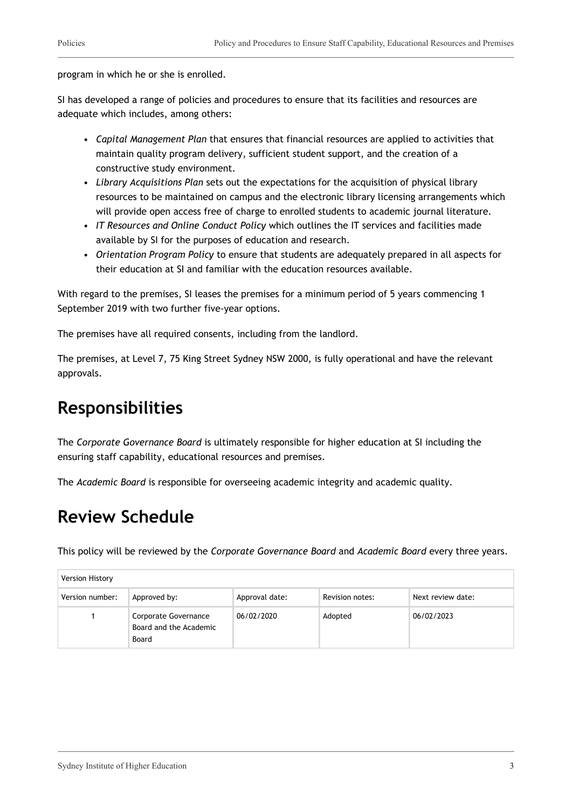program in which he or she is enrolled.

SI has developed a range of policies and procedures to ensure that its facilities and resources are adequate which includes, among others:

- *Capital Management Plan* that ensures that financial resources are applied to activities that maintain quality program delivery, sufficient student support, and the creation of a constructive study environment.
- *Library Acquisitions Plan* sets out the expectations for the acquisition of physical library resources to be maintained on campus and the electronic library licensing arrangements which will provide open access free of charge to enrolled students to academic journal literature.
- *IT Resources and Online Conduct Policy* which outlines the IT services and facilities made available by SI for the purposes of education and research.
- *Orientation Program Policy* to ensure that students are adequately prepared in all aspects for their education at SI and familiar with the education resources available.

With regard to the premises, SI leases the premises for a minimum period of 5 years commencing 1 September 2019 with two further five-year options.

The premises have all required consents, including from the landlord.

The premises, at Level 7, 75 King Street Sydney NSW 2000, is fully operational and have the relevant approvals.

#### **Responsibilities**

The *Corporate Governance Board* is ultimately responsible for higher education at SI including the ensuring staff capability, educational resources and premises.

The *Academic Board* is responsible for overseeing academic integrity and academic quality.

#### **Review Schedule**

This policy will be reviewed by the *Corporate Governance Board* and *Academic Board* every three years.

| Version History |                                                         |                |                 |                   |
|-----------------|---------------------------------------------------------|----------------|-----------------|-------------------|
| Version number: | Approved by:                                            | Approval date: | Revision notes: | Next review date: |
|                 | Corporate Governance<br>Board and the Academic<br>Board | 06/02/2020     | Adopted         | 06/02/2023        |